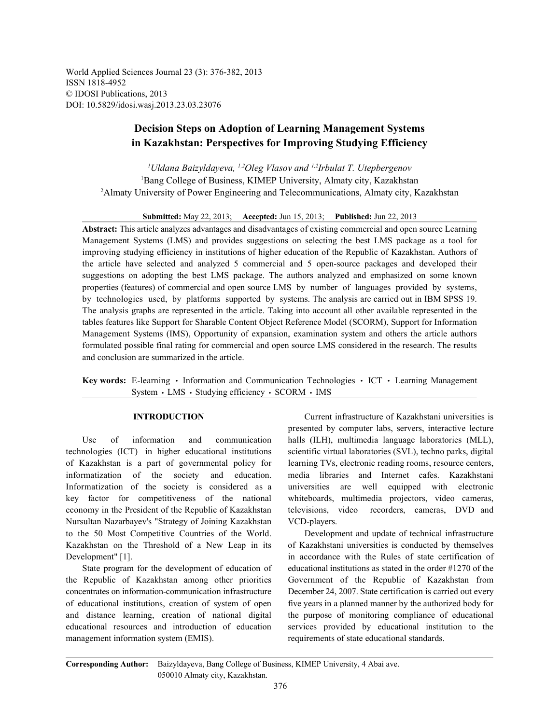World Applied Sciences Journal 23 (3): 376-382, 2013 ISSN 1818-4952 © IDOSI Publications, 2013 DOI: 10.5829/idosi.wasj.2013.23.03.23076

# **Decision Steps on Adoption of Learning Management Systems in Kazakhstan: Perspectives for Improving Studying Efficiency**

<sup>1</sup>*Uldana Baizyldayeva, <sup>1,2</sup>Oleg Vlasov and <sup>1,2</sup>Irbulat T. Utepbergenov* <sup>1</sup>Bang College of Business, KIMEP University, Almaty city, Kazakhstan <sup>2</sup>Almaty University of Power Engineering and Telecommunications, Almaty city, Kazakhstan

**Submitted:** May 22, 2013; **Accepted:** Jun 15, 2013; **Published:** Jun 22, 2013

**Abstract:** This article analyzes advantages and disadvantages of existing commercial and open source Learning Management Systems (LMS) and provides suggestions on selecting the best LMS package as a tool for improving studying efficiency in institutions of higher education of the Republic of Kazakhstan. Authors of the article have selected and analyzed 5 commercial and 5 open-source packages and developed their suggestions on adopting the best LMS package. The authors analyzed and emphasized on some known properties (features) of commercial and open source LMS by number of languages provided by systems, by technologies used, by platforms supported by systems. The analysis are carried out in IBM SPSS 19. The analysis graphs are represented in the article. Taking into account all other available represented in the tables features like Support for Sharable Content Object Reference Model (SCORM), Support for Information Management Systems (IMS), Opportunity of expansion, examination system and others the article authors formulated possible final rating for commercial and open source LMS considered in the research. The results and conclusion are summarized in the article.

**Key words:** E-learning • Information and Communication Technologies • ICT • Learning Management System · LMS · Studying efficiency · SCORM · IMS

technologies (ICT) in higher educational institutions scientific virtual laboratories (SVL), techno parks, digital of Kazakhstan is a part of governmental policy for learning TVs, electronic reading rooms, resource centers, informatization of the society and education. media libraries and Internet cafes. Kazakhstani Informatization of the society is considered as a universities are well equipped with electronic key factor for competitiveness of the national whiteboards, multimedia projectors, video cameras, economy in the President of the Republic of Kazakhstan televisions, video recorders, cameras, DVD and Nursultan Nazarbayev's "Strategy of Joining Kazakhstan VCD-players. to the 50 Most Competitive Countries of the World. Development and update of technical infrastructure Kazakhstan on the Threshold of a New Leap in its of Kazakhstani universities is conducted by themselves Development" [1]. The conduction of the Rules of state certification of the Rules of state certification of

the Republic of Kazakhstan among other priorities Government of the Republic of Kazakhstan from concentrates on information-communication infrastructure December 24, 2007. State certification is carried out every of educational institutions, creation of system of open five years in a planned manner by the authorized body for and distance learning, creation of national digital the purpose of monitoring compliance of educational educational resources and introduction of education services provided by educational institution to the management information system (EMIS). requirements of state educational standards.

**INTRODUCTION** Current infrastructure of Kazakhstani universities is Use of information and communication halls (ILH), multimedia language laboratories (MLL), presented by computer labs, servers, interactive lecture

State program for the development of education of educational institutions as stated in the order #1270 of the

**Corresponding Author:** Baizyldayeva, Bang College of Business, KIMEP University, 4 Abai ave. 050010 Almaty city, Kazakhstan.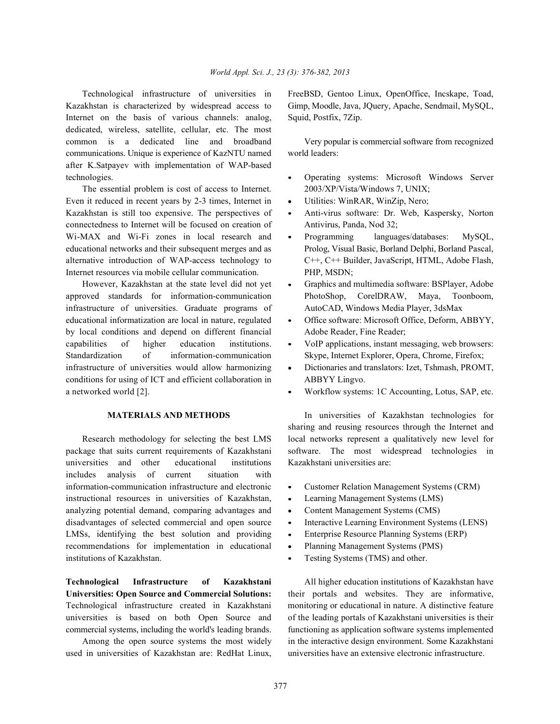Kazakhstan is characterized by widespread access to Gimp, Moodle, Java, JQuery, Apache, Sendmail, MySQL, Internet on the basis of various channels: analog, Squid, Postfix, 7Zip. dedicated, wireless, satellite, cellular, etc. The most common is a dedicated line and broadband Very popular is commercial software from recognized communications. Unique is experience of KazNTU named world leaders: after K.Satpayev with implementation of WAP-based technologies. Operating systems: Microsoft Windows Server

The essential problem is cost of access to Internet. 2003/XP/Vista/Windows 7, UNIX; Even it reduced in recent years by 2-3 times, Internet in • Utilities: WinRAR, WinZip, Nero; Kazakhstan is still too expensive. The perspectives of • Anti-virus software: Dr. Web, Kaspersky, Norton connectedness to Internet will be focused on creation of Antivirus, Panda, Nod 32; Wi-MAX and Wi-Fi zones in local research and • Programming languages/databases: MySQL, educational networks and their subsequent merges and as Prolog, Visual Basic, Borland Delphi, Borland Pascal, alternative introduction of WAP-access technology to C++, C++ Builder, JavaScript, HTML, Adobe Flash, Internet resources via mobile cellular communication. PHP, MSDN;

approved standards for information-communication PhotoShop, CorelDRAW, Maya, Toonboom, infrastructure of universities. Graduate programs of AutoCAD, Windows Media Player, 3dsMax educational informatization are local in nature, regulated • Office software: Microsoft Office, Deform, ABBYY, by local conditions and depend on different financial Adobe Reader, Fine Reader; capabilities of higher education institutions. • VoIP applications, instant messaging, web browsers: Standardization of information-communication Skype, Internet Explorer, Opera, Chrome, Firefox; infrastructure of universities would allow harmonizing . Dictionaries and translators: Izet, Tshmash, PROMT, conditions for using of ICT and efficient collaboration in ABBYY Lingvo. a networked world [2]. Workflow systems: 1C Accounting, Lotus, SAP, etc.

universities and other educational institutions Kazakhstani universities are: includes analysis of current situation with information-communication infrastructure and electronic • Customer Relation Management Systems (CRM) instructional resources in universities of Kazakhstan, • Learning Management Systems (LMS) analyzing potential demand, comparing advantages and  $\bullet$  Content Management Systems (CMS) disadvantages of selected commercial and open source • Interactive Learning Environment Systems (LENS) LMSs, identifying the best solution and providing • Enterprise Resource Planning Systems (ERP) recommendations for implementation in educational • Planning Management Systems (PMS) institutions of Kazakhstan. Testing Systems (TMS) and other.

**Technological Infrastructure of Kazakhstani** All higher education institutions of Kazakhstan have **Universities: Open Source and Commercial Solutions:** their portals and websites. They are informative, Technological infrastructure created in Kazakhstani monitoring or educational in nature. A distinctive feature universities is based on both Open Source and of the leading portals of Kazakhstani universities is their commercial systems, including the world's leading brands. functioning as application software systems implemented

used in universities of Kazakhstan are: RedHat Linux, universities have an extensive electronic infrastructure.

Technological infrastructure of universities in FreeBSD, Gentoo Linux, OpenOffice, Incskape, Toad,

- 
- 
- 
- 
- However, Kazakhstan at the state level did not yet Graphics and multimedia software: BSPlayer, Adobe
	-
	-
	-
	-

**MATERIALS AND METHODS** In universities of Kazakhstan technologies for Research methodology for selecting the best LMS local networks represent a qualitatively new level for package that suits current requirements of Kazakhstani software. The most widespread technologies in sharing and reusing resources through the Internet and

- 
- 
- 
- 
- 
- 
- 

Among the open source systems the most widely in the interactive design environment. Some Kazakhstani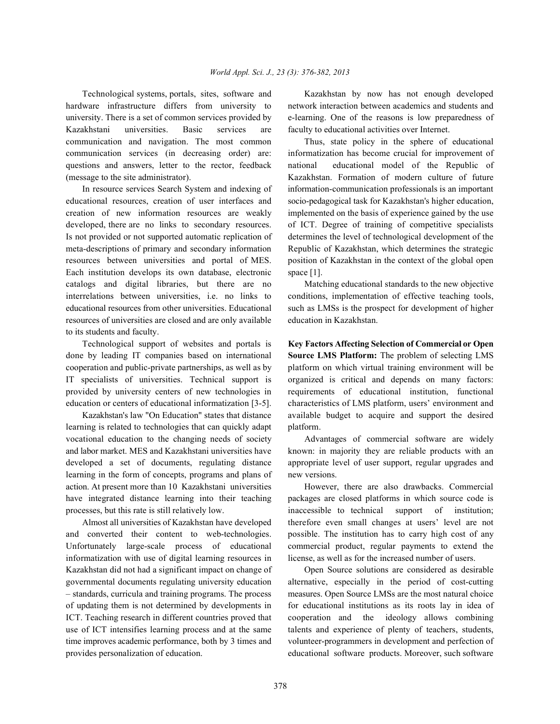hardware infrastructure differs from university to network interaction between academics and students and university. There is a set of common services provided by e-learning. One of the reasons is low preparedness of Kazakhstani universities. Basic services are faculty to educational activities over Internet. communication and navigation. The most common Thus, state policy in the sphere of educational communication services (in decreasing order) are: informatization has become crucial for improvement of questions and answers, letter to the rector, feedback national educational model of the Republic of (message to the site administrator). Kazakhstan. Formation of modern culture of future

educational resources, creation of user interfaces and socio-pedagogical task for Kazakhstan's higher education, creation of new information resources are weakly implemented on the basis of experience gained by the use developed, there are no links to secondary resources. of ICT. Degree of training of competitive specialists Is not provided or not supported automatic replication of determines the level of technological development of the meta-descriptions of primary and secondary information Republic of Kazakhstan, which determines the strategic resources between universities and portal of MES. position of Kazakhstan in the context of the global open Each institution develops its own database, electronic space [1]. catalogs and digital libraries, but there are no Matching educational standards to the new objective interrelations between universities, i.e. no links to conditions, implementation of effective teaching tools, educational resources from other universities. Educational such as LMSs is the prospect for development of higher resources of universities are closed and are only available education in Kazakhstan. to its students and faculty.

done by leading IT companies based on international **Source LMS Platform:** The problem of selecting LMS cooperation and public-private partnerships, as well as by platform on which virtual training environment will be IT specialists of universities. Technical support is organized is critical and depends on many factors: provided by university centers of new technologies in requirements of educational institution, functional education or centers of educational informatization [3-5]. characteristics of LMS platform, users' environment and

learning is related to technologies that can quickly adapt platform. vocational education to the changing needs of society Advantages of commercial software are widely and labor market. MES and Kazakhstani universities have known: in majority they are reliable products with an developed a set of documents, regulating distance appropriate level of user support, regular upgrades and learning in the form of concepts, programs and plans of new versions. action. At present more than 10 Kazakhstani universities However, there are also drawbacks. Commercial have integrated distance learning into their teaching packages are closed platforms in which source code is processes, but this rate is still relatively low. inaccessible to technical support of institution;

and converted their content to web-technologies. possible. The institution has to carry high cost of any Unfortunately large-scale process of educational commercial product, regular payments to extend the informatization with use of digital learning resources in license, as well as for the increased number of users. Kazakhstan did not had a significant impact on change of Open Source solutions are considered as desirable governmental documents regulating university education alternative, especially in the period of cost-cutting – standards, curricula and training programs. The process measures. Open Source LMSs are the most natural choice of updating them is not determined by developments in for educational institutions as its roots lay in idea of ICT. Teaching research in different countries proved that cooperation and the ideology allows combining use of ICT intensifies learning process and at the same talents and experience of plenty of teachers, students, time improves academic performance, both by 3 times and volunteer-programmers in development and perfection of provides personalization of education. educational software products. Moreover, such software

Technological systems, portals, sites, software and Kazakhstan by now has not enough developed

In resource services Search System and indexing of information-communication professionals is an important

Technological support of websites and portals is **Key Factors Affecting Selection of Commercial or Open** Kazakhstan's law "On Education" states that distance available budget to acquire and support the desired

Almost all universities of Kazakhstan have developed therefore even small changes at users' level are not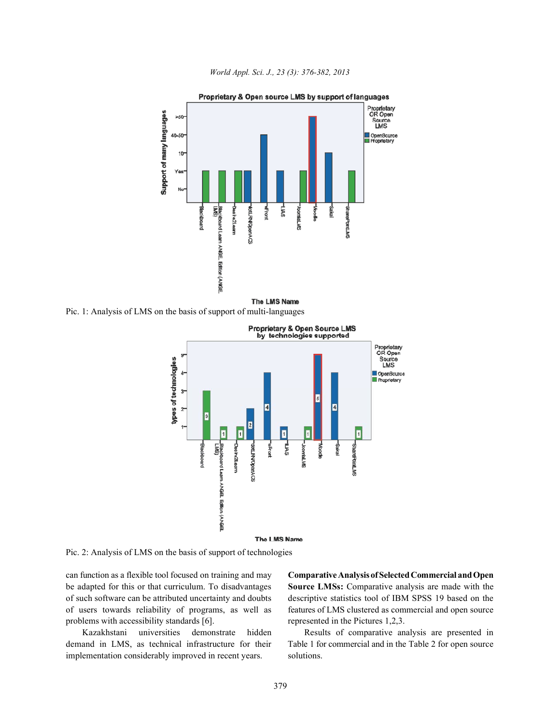

*World Appl. Sci. J., 23 (3): 376-382, 2013*

The LMS Name

Pic. 1: Analysis of LMS on the basis of support of multi-languages



Pic. 2: Analysis of LMS on the basis of support of technologies

be adapted for this or that curriculum. To disadvantages **Source LMSs:** Comparative analysis are made with the of such software can be attributed uncertainty and doubts descriptive statistics tool of IBM SPSS 19 based on the of users towards reliability of programs, as well as features of LMS clustered as commercial and open source problems with accessibility standards [6]. represented in the Pictures 1,2,3.

demand in LMS, as technical infrastructure for their Table 1 for commercial and in the Table 2 for open source implementation considerably improved in recent years. solutions.

can function as a flexible tool focused on training and may **Comparative Analysis of SelectedCommercial and Open**

Kazakhstani universities demonstrate hidden Results of comparative analysis are presented in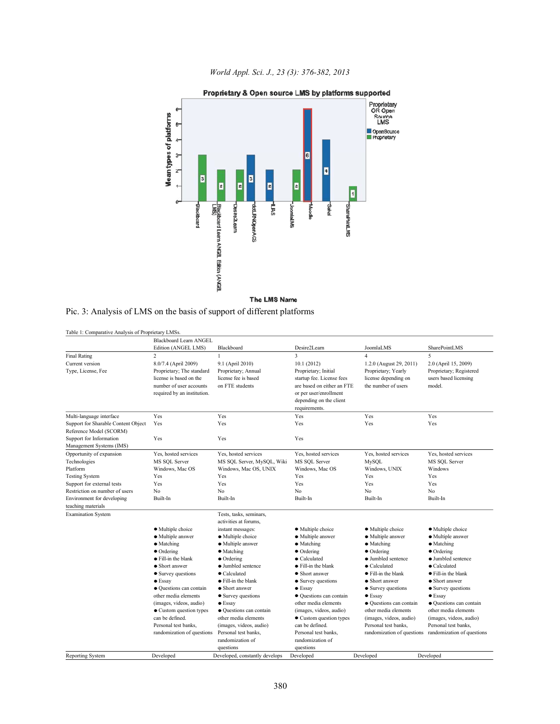*World Appl. Sci. J., 23 (3): 376-382, 2013*



|  |  |  |  |  |  | Pic. 3: Analysis of LMS on the basis of support of different platforms |
|--|--|--|--|--|--|------------------------------------------------------------------------|
|  |  |  |  |  |  |                                                                        |

| Table 1: Comparative Analysis of Proprietary LMSs. |                                            |                                                 |                                                    |                                                 |                                                       |
|----------------------------------------------------|--------------------------------------------|-------------------------------------------------|----------------------------------------------------|-------------------------------------------------|-------------------------------------------------------|
|                                                    | <b>Blackboard Learn ANGEL</b>              |                                                 |                                                    |                                                 |                                                       |
|                                                    | Edition (ANGEL LMS)                        | Blackboard                                      | Desire2Learn                                       | JoomlaLMS                                       | SharePointLMS                                         |
| <b>Final Rating</b>                                | $\sqrt{2}$                                 | $\mathbf{1}$                                    | $\overline{\mathbf{3}}$                            | $\overline{4}$                                  | 5                                                     |
| Current version                                    | 8.0/7.4 (April 2009)                       | 9.1 (April 2010)                                | 10.1(2012)                                         | 1.2.0 (August 29, 2011)                         | 2.0 (April 15, 2009)                                  |
| Type, License, Fee                                 | Proprietary; The standard                  | Proprietary; Annual                             | Proprietary; Initial                               | Proprietary; Yearly                             | Proprietary; Registered                               |
|                                                    | license is based on the                    | license fee is based                            | startup fee. License fees                          | license depending on                            | users based licensing                                 |
|                                                    | number of user accounts                    | on FTE students                                 | are based on either an FTE                         | the number of users                             | model.                                                |
|                                                    | required by an institution.                |                                                 | or per user/enrollment                             |                                                 |                                                       |
|                                                    |                                            |                                                 | depending on the client                            |                                                 |                                                       |
|                                                    |                                            |                                                 | requirements.                                      |                                                 |                                                       |
| Multi-language interface                           | Yes                                        | Yes                                             | Yes                                                | Yes                                             | Yes                                                   |
| Support for Sharable Content Object                | Yes                                        | Yes                                             | Yes                                                | Yes                                             | Yes                                                   |
| Reference Model (SCORM)                            |                                            |                                                 |                                                    |                                                 |                                                       |
| Support for Information                            | Yes                                        | Yes                                             | Yes                                                |                                                 |                                                       |
| Management Systems (IMS)                           |                                            |                                                 |                                                    |                                                 |                                                       |
| Opportunity of expansion                           | Yes, hosted services                       | Yes, hosted services                            | Yes, hosted services                               | Yes, hosted services                            | Yes, hosted services                                  |
| Technologies                                       | MS SQL Server                              | MS SQL Server, MySQL, Wiki                      | MS SQL Server                                      | MySQL                                           | MS SQL Server                                         |
| Platform                                           | Windows, Mac OS                            | Windows, Mac OS, UNIX                           | Windows, Mac OS                                    | Windows, UNIX                                   | Windows                                               |
| <b>Testing System</b>                              | Yes                                        | Yes                                             | Yes                                                | Yes                                             | Yes                                                   |
| Support for external tests                         | Yes                                        | Yes                                             | Yes                                                | Yes                                             | Yes                                                   |
| Restriction on number of users                     | N <sub>0</sub>                             | N <sub>o</sub>                                  | No                                                 | No.                                             | No.                                                   |
| Environment for developing                         | Built-In                                   | Built-In                                        | Built-In                                           | Built-In                                        | Built-In                                              |
| teaching materials                                 |                                            |                                                 |                                                    |                                                 |                                                       |
| <b>Examination System</b>                          |                                            | Tests, tasks, seminars,                         |                                                    |                                                 |                                                       |
|                                                    |                                            | activities at forums,                           |                                                    |                                                 |                                                       |
|                                                    | • Multiple choice                          | instant messages:                               | · Multiple choice                                  | · Multiple choice                               | • Multiple choice                                     |
|                                                    | · Multiple answer                          | · Multiple choice                               | · Multiple answer                                  | · Multiple answer                               | • Multiple answer                                     |
|                                                    | • Matching                                 | • Multiple answer                               | • Matching                                         | • Matching                                      | • Matching                                            |
|                                                    | $\bullet$ Ordering                         | • Matching                                      | $\bullet$ Ordering                                 | $\bullet$ Ordering                              | • Ordering                                            |
|                                                    | • Fill-in the blank                        | $\bullet$ Ordering                              | $\bullet$ Calculated                               | • Jumbled sentence                              | • Jumbled sentence                                    |
|                                                    | • Short answer                             | • Jumbled sentence                              | ● Fill-in the blank                                | $\bullet$ Calculated                            | $\bullet$ Calculated                                  |
|                                                    | • Survey questions                         | $\bullet$ Calculated                            | • Short answer                                     | • Fill-in the blank                             | • Fill-in the blank                                   |
|                                                    | $\bullet$ Essay                            | • Fill-in the blank                             | • Survey questions                                 | • Short answer                                  | • Short answer                                        |
|                                                    | · Questions can contain                    | • Short answer                                  | $\bullet$ Essay                                    | • Survey questions                              | • Survey questions                                    |
|                                                    | other media elements                       | • Survey questions                              | • Ouestions can contain                            | $\bullet$ Essay                                 | $\bullet$ Essay                                       |
|                                                    | (images, videos, audio)                    | $\bullet$ Essay                                 | other media elements                               | • Ouestions can contain                         | • Ouestions can contain                               |
|                                                    | • Custom question types<br>can be defined. | • Ouestions can contain<br>other media elements | (images, videos, audio)<br>• Custom question types | other media elements<br>(images, videos, audio) | other media elements                                  |
|                                                    |                                            |                                                 |                                                    |                                                 | (images, videos, audio)                               |
|                                                    | Personal test banks.                       | (images, videos, audio)                         | can be defined.                                    | Personal test banks.                            | Personal test banks,                                  |
|                                                    | randomization of questions                 | Personal test banks,                            | Personal test banks,                               |                                                 | randomization of questions randomization of questions |
|                                                    |                                            | randomization of                                | randomization of                                   |                                                 |                                                       |
|                                                    |                                            | questions                                       | questions                                          |                                                 |                                                       |
| <b>Reporting System</b>                            | Developed                                  | Developed, constantly develops                  | Developed                                          | Developed                                       | Developed                                             |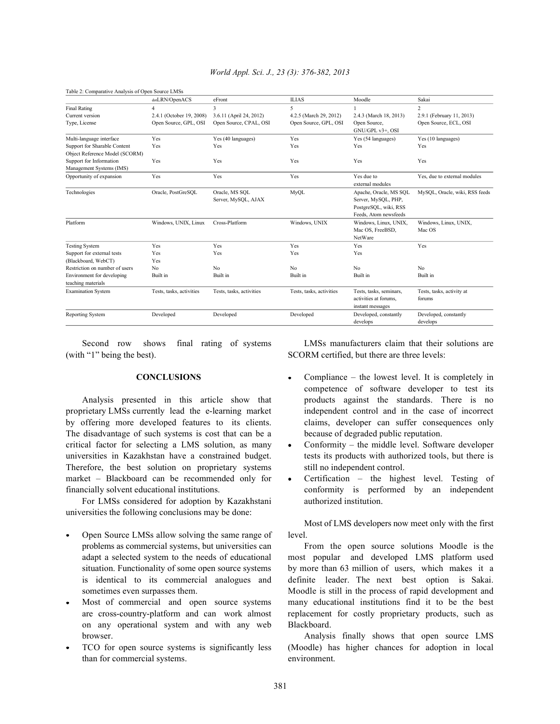| Table 2: Comparative Analysis of Open Source LMSs              |                          |                                       |                          |                                                                                                 |                                     |
|----------------------------------------------------------------|--------------------------|---------------------------------------|--------------------------|-------------------------------------------------------------------------------------------------|-------------------------------------|
|                                                                | dotLRN/OpenACS           | eFront                                | <b>ILIAS</b>             | Moodle                                                                                          | Sakai                               |
| <b>Final Rating</b>                                            | 4                        | 3                                     | 5                        |                                                                                                 | $\overline{c}$                      |
| Current version                                                | 2.4.1 (October 19, 2008) | 3.6.11 (April 24, 2012)               | 4.2.5 (March 29, 2012)   | 2.4.3 (March 18, 2013)                                                                          | 2.9.1 (February 11, 2013)           |
| Type, License                                                  | Open Source, GPL, OSI    | Open Source, CPAL, OSI                | Open Source, GPL, OSI    | Open Source,<br>GNU/GPL v3+, OSI                                                                | Open Source, ECL, OSI               |
| Multi-language interface                                       | Yes                      | Yes (40 languages)                    | Yes                      | Yes (54 languages)                                                                              | Yes (10 languages)                  |
| Support for Sharable Content<br>Object Reference Model (SCORM) | Yes                      | Yes<br>Yes                            |                          | Yes                                                                                             | Yes                                 |
| Support for Information<br>Management Systems (IMS)            | Yes                      | Yes                                   | Yes                      | Yes                                                                                             | Yes                                 |
| Opportunity of expansion                                       | Yes                      | Yes                                   | Yes                      | Yes due to<br>external modules                                                                  | Yes, due to external modules        |
| Technologies                                                   | Oracle, PostGreSQL       | Oracle, MS SOL<br>Server, MySQL, AJAX | <b>MyOL</b>              | Apache, Oracle, MS SOL<br>Server, MySQL, PHP,<br>PostgreSQL, wiki, RSS<br>Feeds, Atom newsfeeds | MySQL, Oracle, wiki, RSS feeds      |
| Platform                                                       | Windows, UNIX, Linux     | Cross-Platform                        | Windows, UNIX            | Windows, Linux, UNIX,<br>Mac OS, FreeBSD,<br>NetWare                                            | Windows, Linux, UNIX,<br>Mac OS     |
| <b>Testing System</b>                                          | Yes                      | Yes                                   | Yes                      | Yes                                                                                             | Yes                                 |
| Support for external tests                                     | Yes                      | Yes                                   | Yes                      | Yes                                                                                             |                                     |
| (Blackboard, WebCT)                                            | Yes                      |                                       |                          |                                                                                                 |                                     |
| Restriction on number of users                                 | No                       | No                                    | N <sub>0</sub>           | N <sub>0</sub>                                                                                  | N <sub>0</sub>                      |
| Environment for developing                                     | Built in                 | Built in                              | Built in                 | Built in                                                                                        | Built in                            |
| teaching materials                                             |                          |                                       |                          |                                                                                                 |                                     |
| <b>Examination System</b>                                      | Tests, tasks, activities | Tests, tasks, activities              | Tests, tasks, activities | Tests, tasks, seminars,<br>activities at forums.<br>instant messages                            | Tests, tasks, activity at<br>forums |
| Reporting System                                               | Developed                | Developed                             | Developed                | Developed, constantly<br>develops                                                               | Developed, constantly<br>develops   |

# *World Appl. Sci. J., 23 (3): 376-382, 2013*

(with "1" being the best). SCORM certified, but there are three levels:

proprietary LMSs currently lead the e-learning market independent control and in the case of incorrect by offering more developed features to its clients. claims, developer can suffer consequences only The disadvantage of such systems is cost that can be a because of degraded public reputation. critical factor for selecting a LMS solution, as many  $\bullet$  Conformity – the middle level. Software developer universities in Kazakhstan have a constrained budget. the tests its products with authorized tools, but there is Therefore, the best solution on proprietary systems still no independent control. market – Blackboard can be recommended only for • Certification – the highest level. Testing of financially solvent educational institutions. conformity is performed by an independent

For LMSs considered for adoption by Kazakhstani authorized institution. universities the following conclusions may be done:

- Open Source LMSs allow solving the same range of level. problems as commercial systems, but universities can From the open source solutions Moodle is the
- on any operational system and with any web Blackboard.
- than for commercial systems. environment.

Second row shows final rating of systems LMSs manufacturers claim that their solutions are

- **CONCLUSIONS** Compliance the lowest level. It is completely in Analysis presented in this article show that products against the standards. There is no competence of software developer to test its
	-
	-

Most of LMS developers now meet only with the first

adapt a selected system to the needs of educational most popular and developed LMS platform used situation. Functionality of some open source systems by more than 63 million of users, which makes it a is identical to its commercial analogues and definite leader. The next best option is Sakai. sometimes even surpasses them. Moodle is still in the process of rapid development and Most of commercial and open source systems many educational institutions find it to be the best are cross-country-platform and can work almost replacement for costly proprietary products, such as

browser. Analysis finally shows that open source LMS TCO for open source systems is significantly less (Moodle) has higher chances for adoption in local